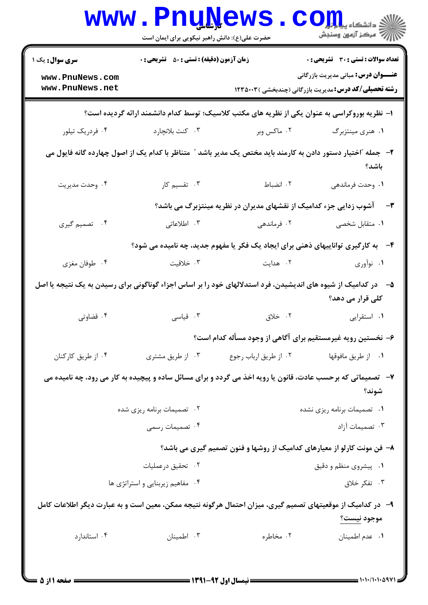|                                    | <b>WWW.PNUNEWS</b><br>حضرت علی(ع): دانش راهبر نیکویی برای ایمان است |                                                                                                              | $COJ, L$ انشڪاه پيا<br>رُ⁄ کرڪز آزمون وسنڊش                                                                 |
|------------------------------------|---------------------------------------------------------------------|--------------------------------------------------------------------------------------------------------------|-------------------------------------------------------------------------------------------------------------|
| <b>سری سوال :</b> یک ۱             | <b>زمان آزمون (دقیقه) : تستی : 50 ٪ تشریحی : 0</b>                  |                                                                                                              | <b>تعداد سوالات : تستی : 30 ٪ تشریحی : 0</b>                                                                |
| www.PnuNews.com<br>www.PnuNews.net |                                                                     |                                                                                                              | <b>عنـــوان درس:</b> مبانی مدیریت بازرگانی<br><b>رشته تحصیلی/کد درس:</b> مدیریت بازرگانی (چندبخشی ) ۱۲۳۵۰۰۳ |
|                                    |                                                                     | ا– نظریه بوروکراسی به عنوان یکی از نظریه های مکتب کلاسیک؛ توسط کدام دانشمند ارائه گردیده است؟                |                                                                                                             |
| ۰۴ فردریک تیلور                    | ۰۳ کنت بلانچارد                                                     | ۰۲ ماکس وبر                                                                                                  | ۰۱ هنری مینتزبرگ                                                                                            |
|                                    |                                                                     | ۲– جمله "اختیار دستور دادن به کارمند باید مختص یک مدیر باشد ″ متناظر با کدام یک از اصول چهارده گانه فایول می | باشد؟                                                                                                       |
| ۰۴ وحدت مديريت                     | ۰۳ تقسیم کار                                                        | ۰۲ انضباط                                                                                                    | ٠١. وحدت فرماندهي                                                                                           |
|                                    |                                                                     | <b>۳</b> -     آشوب زدایی جزء کدامیک از نقشهای مدیران در نظریه مینتزبرگ می باشد؟                             |                                                                                                             |
| ۰۴ تصمیم گیری                      | ۰۳ اطلاعاتی                                                         | ۰۲ فرماندهی                                                                                                  | <b>۱</b> . متقابل شخصی                                                                                      |
|                                    |                                                                     | ۴-۔ به کارگیری تواناییهای ذهنی برای ایجاد یک فکر یا مفهوم جدید، چه نامیده می شود؟                            |                                                                                                             |
| ۰۴ طوفان مغزي                      | ۰۳ خلاقیت                                                           | ۰۲ هدایت                                                                                                     | ۰۱ نوآوري                                                                                                   |
|                                    |                                                                     | در کدامیک از شیوه های اندیشیدن، فرد استدلالهای خود را بر اساس اجزاء گوناگونی برای رسیدن به یک نتیجه یا اصل   | کلی قرار می دهد؟                                                                                            |
| ۰۴ قضاوتی                          | ۰۳ قیاسی                                                            | ۰۲ خلاق                                                                                                      | ۰۱ استقرایی                                                                                                 |
|                                    |                                                                     | ۶– نخستین رویه غیرمستقیم برای آگاهی از وجود مسأله کدام است؟                                                  |                                                                                                             |
| ۰۴ از طریق کارکنان                 | ۰۳ از طریق مشتری                                                    | ۰۲ از طریق ارباب رجوع                                                                                        | ۰۱ از طريق مافوقها                                                                                          |
|                                    |                                                                     | ۷-- تصمیماتی که برحسب عادت، قانون یا رویه اخذ می گردد و برای مسائل ساده و پیچیده به کار می رود، چه نامیده می | شوند؟                                                                                                       |
|                                    | ۰۲ تصمیمات برنامه ریزی شده                                          |                                                                                                              | ٠١ تصميمات برنامه ريزي نشده                                                                                 |
|                                    | ۰۴ تصمیمات رسمی                                                     |                                                                                                              | ۰۳ تصمیمات آزاد                                                                                             |
|                                    |                                                                     | ۸– فن مونت کارلو از معیارهای کدامیک از روشها و فنون تصمیم گیری می باشد؟                                      |                                                                                                             |
|                                    | ۰۲ تحقیق درعملیات                                                   |                                                                                                              | ۰۱ پیشروی منظم و دقیق                                                                                       |
|                                    | ۰۴ مفاهیم زیربنایی و استراتژی ها                                    |                                                                                                              | ۰۳ تفکر خلاق                                                                                                |
|                                    |                                                                     | ۹– در کدامیک از موقعیتهای تصمیم گیری، میزان احتمال هرگونه نتیجه ممکن، معین است و به عبارت دیگر اطلاعات کامل  |                                                                                                             |
|                                    |                                                                     |                                                                                                              | موجود نيست؟                                                                                                 |
| ۰۴ استاندارد                       | ۰۳ اطمينان                                                          | ۰۲ مخاطره                                                                                                    | ٠١ عدم اطمينان                                                                                              |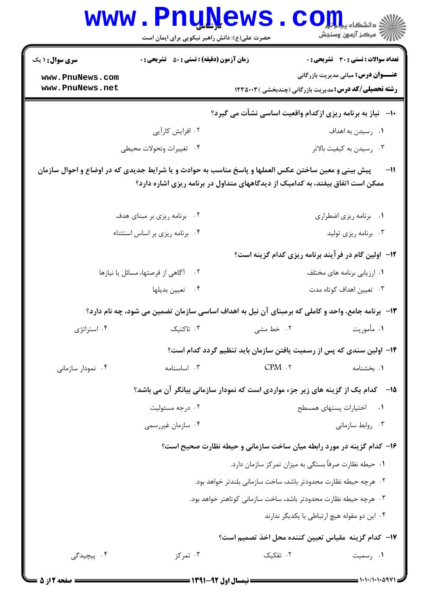|                                    | <b>l dîrxa l</b><br>حضرت علی(ع): دانش راهبر نیکویی برای ایمان است |                                                                                                                                                                                       | ، دانشڪاه پ <b>يا با<del>تار</del></b><br>رِ آمرڪز آزمون وسنڊش                                              |
|------------------------------------|-------------------------------------------------------------------|---------------------------------------------------------------------------------------------------------------------------------------------------------------------------------------|-------------------------------------------------------------------------------------------------------------|
| <b>سری سوال : ۱ یک</b>             | <b>زمان آزمون (دقیقه) : تستی : 50 ٪ تشریحی : 0</b>                |                                                                                                                                                                                       | <b>تعداد سوالات : تستی : 30 ٪ تشریحی : 0</b>                                                                |
| www.PnuNews.com<br>www.PnuNews.net |                                                                   |                                                                                                                                                                                       | <b>عنـــوان درس:</b> مبانی مدیریت بازرگانی<br><b>رشته تحصیلی/کد درس:</b> مدیریت بازرگانی (چندبخشی ) ۱۲۳۵۰۰۳ |
|                                    |                                                                   | ∙ا−۔ نیاز به برنامه ریزی ازکدام واقعیت اساسی نشأت می گیرد؟                                                                                                                            |                                                                                                             |
|                                    | ۰۲ افزایش کارآیی                                                  |                                                                                                                                                                                       | ۰۱ رسیدن به اهداف                                                                                           |
|                                    | ۰۴ تغييرات وتحولات محيطى                                          |                                                                                                                                                                                       | ۰۳ رسیدن به کیفیت بالاتر                                                                                    |
|                                    |                                                                   | پیش بینی و معین ساختن عکس العملها و پاسخ مناسب به حوادث و یا شرایط جدیدی که در اوضاع و احوال سازمان<br>ممکن است اتفاق بیفتد، به کدامیک از دیدگاههای متداول در برنامه ریزی اشاره دارد؟ |                                                                                                             |
|                                    | ۰۲ برنامه ریزی بر مبنای هدف                                       |                                                                                                                                                                                       | ٠١ برنامه ريزي اضطراري                                                                                      |
|                                    | ۰۴ برنامه ریزی بر اساس استثناء                                    |                                                                                                                                                                                       | ۰۳ برنامه ریزی تولید                                                                                        |
|                                    |                                                                   |                                                                                                                                                                                       | <b>۱۲</b> - اولین گام در فرآیند برنامه ریزی کدام گزینه است؟                                                 |
|                                    | آگاهی از فرصتها، مسائل یا نیازها                                  |                                                                                                                                                                                       | ۰۱ ارزیابی برنامه های مختلف                                                                                 |
|                                    | ۰۴ تعیین بدیلها                                                   |                                                                                                                                                                                       | ۰۳ تعیین اهداف کوتاه مدت                                                                                    |
|                                    |                                                                   | ۱۳- برنامه جامع، واحد و کاملی که برمبنای آن نیل به اهداف اساسی سازمان تضمین می شود، چه نام دارد؟                                                                                      |                                                                                                             |
| ۰۴ استراتژی                        | ۰۳ تاکتیک                                                         | ۰۲ خط مشی                                                                                                                                                                             | ۰۱ مأموريت                                                                                                  |
|                                    |                                                                   | ۱۴– اولین سندی که پس از رسمیت یافتن سازمان باید تنظیم گردد کدام است؟                                                                                                                  |                                                                                                             |
| ۰۴ نمودار سازمانی                  | ۰۳ اساسنامه                                                       | CPM.7                                                                                                                                                                                 | ۰۱ بخشنامه                                                                                                  |
|                                    |                                                                   | ۱۵– کدام یک از گزینه های زیر جزء مواردی است که نمودار سازمانی بیانگر آن می باشد؟                                                                                                      |                                                                                                             |
|                                    | ۰۲ درجه مسئوليت                                                   |                                                                                                                                                                                       | $\cdot$ $\cdot$ $\cdot$ $\cdot$<br>اختيارات يستهاى همسطح                                                    |
|                                    | ۰۴ سازمان غیررسمی                                                 |                                                                                                                                                                                       | ۰۳ روابط سازمانی                                                                                            |
|                                    |                                                                   | ۱۶– کدام گزینه در مورد رابطه میان ساخت سازمانی و حیطه نظارت صحیح است؟                                                                                                                 |                                                                                                             |
|                                    |                                                                   | ۰۱ حیطه نظارت صرفاً بستگی به میزان تمرکز سازمان دارد.                                                                                                                                 |                                                                                                             |
|                                    |                                                                   | ٠٢ هرچه حيطه نظارت محدودتر باشد، ساخت سازماني بلندتر خواهد بود.                                                                                                                       |                                                                                                             |
|                                    |                                                                   | ۰۳ هرچه حیطه نظارت محدودتر باشد، ساخت سازمانی کوتاهتر خواهد بود.                                                                                                                      |                                                                                                             |
|                                    |                                                                   |                                                                                                                                                                                       | ۰۴ این دو مقوله هیچ ارتباطی با یکدیگر ندارند                                                                |
|                                    |                                                                   | N−   كدام گزينه  مقياس تعيين كننده محل اخذ تصميم است؟                                                                                                                                 |                                                                                                             |
| ۰۴ پیچیدگی <sub>،</sub>            | ۰۳ تمرکز                                                          | ۰۲ تقکیک                                                                                                                                                                              | ۰۱ رسمیت                                                                                                    |

x

 $1881$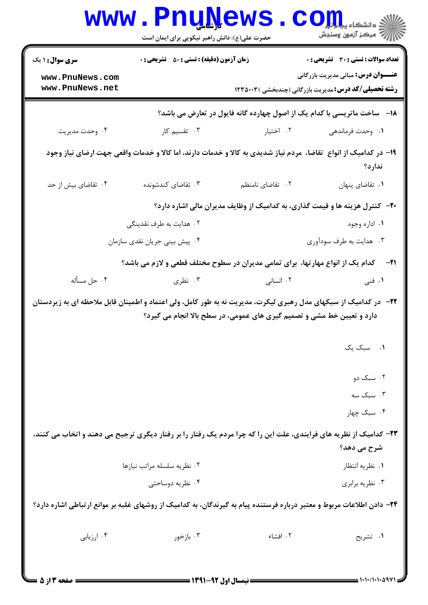|                                                                                                                         | <b>WWW • FUUTAEMP</b><br>حضرت علی(ع): دانش راهبر نیکویی برای ایمان است |                                                                                                                   | دانشکا ه پ <b>یا ب<mark>ا وا</mark>و</b><br><i>إل<sup>7</sup> مرڪ</i> ز آزمون وسنڊش                                                                |
|-------------------------------------------------------------------------------------------------------------------------|------------------------------------------------------------------------|-------------------------------------------------------------------------------------------------------------------|----------------------------------------------------------------------------------------------------------------------------------------------------|
| <b>سری سوال : ۱ یک</b><br>www.PnuNews.com<br>www.PnuNews.net                                                            | <b>زمان آزمون (دقیقه) : تستی : 50 ٪ تشریحی : 0</b>                     |                                                                                                                   | تعداد سوالات : تستي : 30 قشريحي : 0<br><b>عنــــوان درس:</b> مبانی مدیریت بازرگانی<br><b>رشته تحصیلی/کد درس:</b> مدیریت بازرگانی (چندبخشی )۱۲۳۵۰۰۳ |
|                                                                                                                         |                                                                        | ۱۸−۔ ساخت ماتریسی با کدام یک از اصول چهارده گانه فایول در تعارض می باشد؟                                          |                                                                                                                                                    |
| ۰۴ وحدت مديريت                                                                                                          | ۰۳ تقسیم کار                                                           | ۰۲ اختیار                                                                                                         | ۰۱ وحدت فرماندهی                                                                                                                                   |
|                                                                                                                         |                                                                        | ۱۹– در کدامیک از انواع ً تقاضا، مردم نیاز شدیدی به کالا و خدمات دارند، اما کالا و خدمات واقعی جهت ارضای نیاز وجود | ندارد؟                                                                                                                                             |
| ۰۴ تقاضای بیش از حد                                                                                                     | ۰۳ تقاضای کندشونده                                                     | ٢. تقاضای نامنظم                                                                                                  | ٠١ تقاضاى پنهان                                                                                                                                    |
|                                                                                                                         |                                                                        | ۲۰− کنترل هزینه ها و قیمت گذاری، به کدامیک از وظایف مدیران مالی اشاره دارد؟                                       |                                                                                                                                                    |
|                                                                                                                         | ۰۲ هدایت به طرف نقدینگی                                                |                                                                                                                   | ۰۱ اداره وجوه                                                                                                                                      |
|                                                                                                                         | ۰۴ پیش بینی جریان نقدی سازمان                                          |                                                                                                                   | ۰۳ هدایت به طرف سودآوری                                                                                                                            |
|                                                                                                                         |                                                                        | <b>۲۱</b> -     کدام یک از انواع مهارتها،  برای تمامی مدیران در سطوح مختلف قطعی و لازم می باشد؟                   |                                                                                                                                                    |
| ۰۴ حل مسأله                                                                                                             | ۰۳ نظری                                                                | ۰۲ انسانی                                                                                                         | ۰۱ فنی                                                                                                                                             |
| <b>۲۲</b> - در کدامیک از سبکهای مدل رهبری لیکرت، مدیریت نه به طور کامل، ولی اعتماد و اطمینان قابل ملاحظه ای به زیردستان |                                                                        | دارد و تعیین خط مشی و تصمیم گیری های عمومی، در سطح بالا انجام می گیرد؟                                            | ۰۱ سبک یک                                                                                                                                          |
|                                                                                                                         |                                                                        |                                                                                                                   | ۰۲ سبک دو                                                                                                                                          |
|                                                                                                                         |                                                                        |                                                                                                                   | ۰۳ سبک سه                                                                                                                                          |
|                                                                                                                         |                                                                        |                                                                                                                   | ۰۴ سبک چهار                                                                                                                                        |
| ۲۳- کدامیک از نظریه های فرایندی، علت این را که چرا مردم یک رفتار را بر رفتار دیگری ترجیح می دهند و اتخاب می کنند،       |                                                                        |                                                                                                                   |                                                                                                                                                    |
|                                                                                                                         |                                                                        |                                                                                                                   | شرح می دهد؟                                                                                                                                        |
|                                                                                                                         | ٠٢ نظريه سلسله مراتب نيازها                                            |                                                                                                                   | ٠١ نظريه انتظار                                                                                                                                    |
|                                                                                                                         | ۰۴ نظریه دوساحتی                                                       |                                                                                                                   | ۰۳ نظريه برابري                                                                                                                                    |
| ۲۴– دادن اطلاعات مربوط و معتبر درباره فرستنده پیام به گیرندگان، به کدامیک از روشهای غلبه بر موانع ارتباطی اشاره دارد؟   |                                                                        |                                                                                                                   |                                                                                                                                                    |
| ۰۴ ارزیابی                                                                                                              | ۰۳ بازخور                                                              | ٠٢ افشاء                                                                                                          | ۰۱ تشریح                                                                                                                                           |
| صفحه ۲ از ۵                                                                                                             | <b>: نیمسال اول 92-1391 =</b>                                          |                                                                                                                   |                                                                                                                                                    |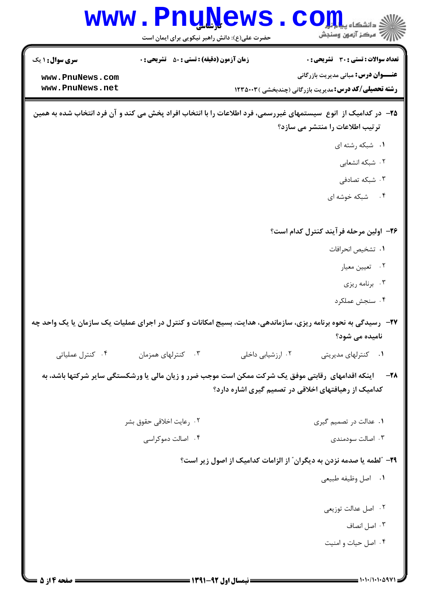|                                    | <b>WWW.PnuNews</b><br>حضرت علی(ع): دانش راهبر نیکویی برای ایمان است                                            |                                                      | $\mathbf{C}\mathbf{O}\mathbf{H}$ دانشگاه پ<br>رآب امرڪز آزمون وسنڊش                                        |
|------------------------------------|----------------------------------------------------------------------------------------------------------------|------------------------------------------------------|------------------------------------------------------------------------------------------------------------|
| <b>سری سوال :</b> ۱ یک             | <b>زمان آزمون (دقیقه) : تستی : 50 ٪ تشریحی : 0</b>                                                             |                                                      | <b>تعداد سوالات : تستی : 30 ٪ تشریحی : 0</b>                                                               |
| www.PnuNews.com<br>www.PnuNews.net |                                                                                                                |                                                      | <b>عنـــوان درس:</b> مبانی مدیریت بازرگانی<br><b>رشته تحصیلی/کد درس:</b> مدیریت بازرگانی (چندبخشی )۱۲۳۵۰۰۳ |
|                                    | ۲۵– در کدامیک از انوع سیستمهای غیررسمی، فرد اطلاعات را با انتخاب افراد پخش می کند و آن فرد انتخاب شده به همین  |                                                      | ترتیب اطلاعات را منتشر می سازد؟                                                                            |
|                                    |                                                                                                                |                                                      | ٠١ شبكه رشته اى                                                                                            |
|                                    |                                                                                                                |                                                      | ۰۲ شبکه انشعابی                                                                                            |
|                                    |                                                                                                                |                                                      | ۰۳ شبکه تصادفی                                                                                             |
|                                    |                                                                                                                |                                                      | ۴. شبکه خوشه ای                                                                                            |
|                                    |                                                                                                                |                                                      | ۲۶– اولین مرحله فرآیند کنترل کدام است؟                                                                     |
|                                    |                                                                                                                |                                                      | ٠١. تشخيص انحرافات                                                                                         |
|                                    |                                                                                                                |                                                      | ۰۲ تعیین معیار                                                                                             |
|                                    |                                                                                                                |                                                      | ۰۳ برنامه ریزی                                                                                             |
|                                    |                                                                                                                |                                                      | ۰۴ سنجش عملکرد                                                                                             |
|                                    | ۲۷- رسیدگی به نحوه برنامه ریزی، سازماندهی، هدایت، بسیج امکانات و کنترل در اجرای عملیات یک سازمان یا یک واحد چه |                                                      |                                                                                                            |
|                                    |                                                                                                                |                                                      | نامیده می شود؟                                                                                             |
| ۰۴ کنترل عملیاتی                   | ۰۳ کنترلهای همزمان                                                                                             | ۰۲ ارزشیابی داخلی                                    | ۰۱ کنترلهای مدیریتی                                                                                        |
|                                    | اینکه اقدامهای رقابتی موفق یک شرکت ممکن است موجب ضرر و زیان مالی یا ورشکستگی سایر شرکتها باشد، به              | کدامیک از رهیافتهای اخلاقی در تصمیم گیری اشاره دارد؟ | $-\tau$                                                                                                    |
|                                    | ۰۲ رعایت اخلاقی حقوق بشر                                                                                       |                                                      | ۰۱ عدالت در تصمیم گیری                                                                                     |
|                                    | ۰۴ اصالت دموکراسی                                                                                              |                                                      | ۰۳ اصالت سودمندی                                                                                           |
|                                    |                                                                                                                |                                                      | ۲۹- "لطمه یا صدمه نزدن به دیگران" از الزامات کدامیک از اصول زیر است؟                                       |
|                                    |                                                                                                                |                                                      | ٠١ اصل وظيفه طبيعي                                                                                         |
|                                    |                                                                                                                |                                                      | ۰۲ اصل عدالت توزیعی                                                                                        |
|                                    |                                                                                                                |                                                      | ۰۳ اصل انصاف                                                                                               |
|                                    |                                                                                                                |                                                      | ۰۴ اصل حیات و امنیت                                                                                        |
|                                    |                                                                                                                |                                                      |                                                                                                            |